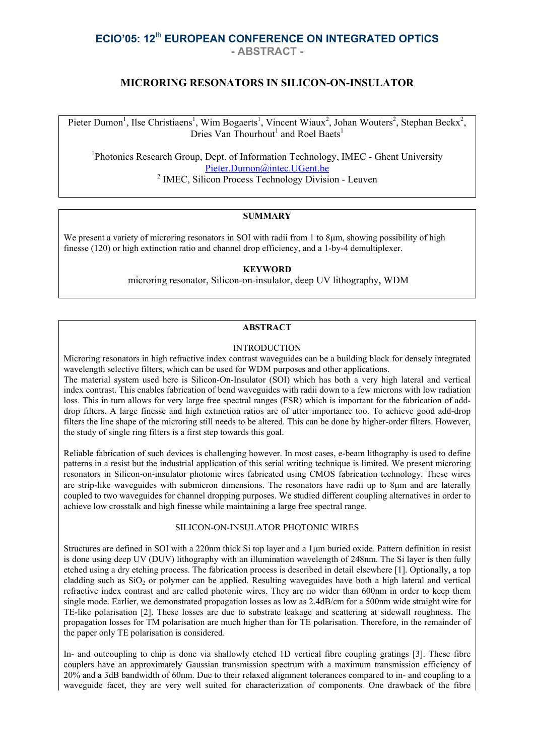# **ECIO'05: 12**th **EUROPEAN CONFERENCE ON INTEGRATED OPTICS - ABSTRACT -**

# **MICRORING RESONATORS IN SILICON-ON-INSULATOR**

Pieter Dumon<sup>1</sup>, Ilse Christiaens<sup>1</sup>, Wim Bogaerts<sup>1</sup>, Vincent Wiaux<sup>2</sup>, Johan Wouters<sup>2</sup>, Stephan Beckx<sup>2</sup>, Dries Van Thourhout<sup>1</sup> and Roel Baets<sup>1</sup>

<sup>1</sup> Photonics Research Group, Dept. of Information Technology, IMEC - Ghent University Pieter.Dumon@intec.UGent.be <sup>2</sup> IMEC, Silicon Process Technology Division - Leuven

### **SUMMARY**

We present a variety of microring resonators in SOI with radii from 1 to 8µm, showing possibility of high finesse (120) or high extinction ratio and channel drop efficiency, and a 1-by-4 demultiplexer.

### **KEYWORD**

microring resonator, Silicon-on-insulator, deep UV lithography, WDM

#### **ABSTRACT**

#### **INTRODUCTION**

Microring resonators in high refractive index contrast waveguides can be a building block for densely integrated wavelength selective filters, which can be used for WDM purposes and other applications.

The material system used here is Silicon-On-Insulator (SOI) which has both a very high lateral and vertical index contrast. This enables fabrication of bend waveguides with radii down to a few microns with low radiation loss. This in turn allows for very large free spectral ranges (FSR) which is important for the fabrication of adddrop filters. A large finesse and high extinction ratios are of utter importance too. To achieve good add-drop filters the line shape of the microring still needs to be altered. This can be done by higher-order filters. However, the study of single ring filters is a first step towards this goal.

Reliable fabrication of such devices is challenging however. In most cases, e-beam lithography is used to define patterns in a resist but the industrial application of this serial writing technique is limited. We present microring resonators in Silicon-on-insulator photonic wires fabricated using CMOS fabrication technology. These wires are strip-like waveguides with submicron dimensions. The resonators have radii up to 8µm and are laterally coupled to two waveguides for channel dropping purposes. We studied different coupling alternatives in order to achieve low crosstalk and high finesse while maintaining a large free spectral range.

# SILICON-ON-INSULATOR PHOTONIC WIRES

Structures are defined in SOI with a 220nm thick Si top layer and a 1µm buried oxide. Pattern definition in resist is done using deep UV (DUV) lithography with an illumination wavelength of 248nm. The Si layer is then fully etched using a dry etching process. The fabrication process is described in detail elsewhere [1]. Optionally, a top cladding such as  $SiO<sub>2</sub>$  or polymer can be applied. Resulting waveguides have both a high lateral and vertical refractive index contrast and are called photonic wires. They are no wider than 600nm in order to keep them single mode. Earlier, we demonstrated propagation losses as low as 2.4dB/cm for a 500nm wide straight wire for TE-like polarisation [2]. These losses are due to substrate leakage and scattering at sidewall roughness. The propagation losses for TM polarisation are much higher than for TE polarisation. Therefore, in the remainder of the paper only TE polarisation is considered.

In- and outcoupling to chip is done via shallowly etched 1D vertical fibre coupling gratings [3]. These fibre couplers have an approximately Gaussian transmission spectrum with a maximum transmission efficiency of 20% and a 3dB bandwidth of 60nm. Due to their relaxed alignment tolerances compared to in- and coupling to a waveguide facet, they are very well suited for characterization of components. One drawback of the fibre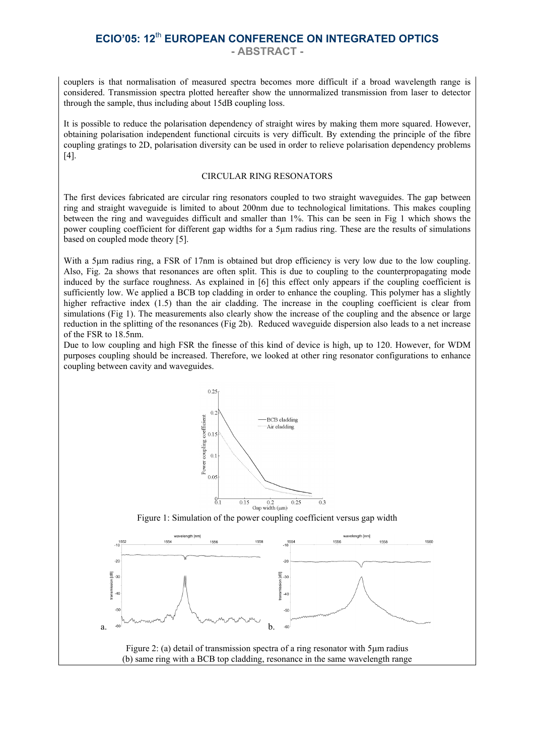# **ECIO'05: 12**th **EUROPEAN CONFERENCE ON INTEGRATED OPTICS - ABSTRACT -**

couplers is that normalisation of measured spectra becomes more difficult if a broad wavelength range is considered. Transmission spectra plotted hereafter show the unnormalized transmission from laser to detector through the sample, thus including about 15dB coupling loss.

It is possible to reduce the polarisation dependency of straight wires by making them more squared. However, obtaining polarisation independent functional circuits is very difficult. By extending the principle of the fibre coupling gratings to 2D, polarisation diversity can be used in order to relieve polarisation dependency problems [4].

#### CIRCULAR RING RESONATORS

The first devices fabricated are circular ring resonators coupled to two straight waveguides. The gap between ring and straight waveguide is limited to about 200nm due to technological limitations. This makes coupling between the ring and waveguides difficult and smaller than 1%. This can be seen in Fig 1 which shows the power coupling coefficient for different gap widths for a 5µm radius ring. These are the results of simulations based on coupled mode theory [5].

With a 5um radius ring, a FSR of 17nm is obtained but drop efficiency is very low due to the low coupling. Also, Fig. 2a shows that resonances are often split. This is due to coupling to the counterpropagating mode induced by the surface roughness. As explained in [6] this effect only appears if the coupling coefficient is sufficiently low. We applied a BCB top cladding in order to enhance the coupling. This polymer has a slightly higher refractive index (1.5) than the air cladding. The increase in the coupling coefficient is clear from simulations (Fig 1). The measurements also clearly show the increase of the coupling and the absence or large reduction in the splitting of the resonances (Fig 2b). Reduced waveguide dispersion also leads to a net increase of the FSR to 18.5nm.

Due to low coupling and high FSR the finesse of this kind of device is high, up to 120. However, for WDM purposes coupling should be increased. Therefore, we looked at other ring resonator configurations to enhance coupling between cavity and waveguides.

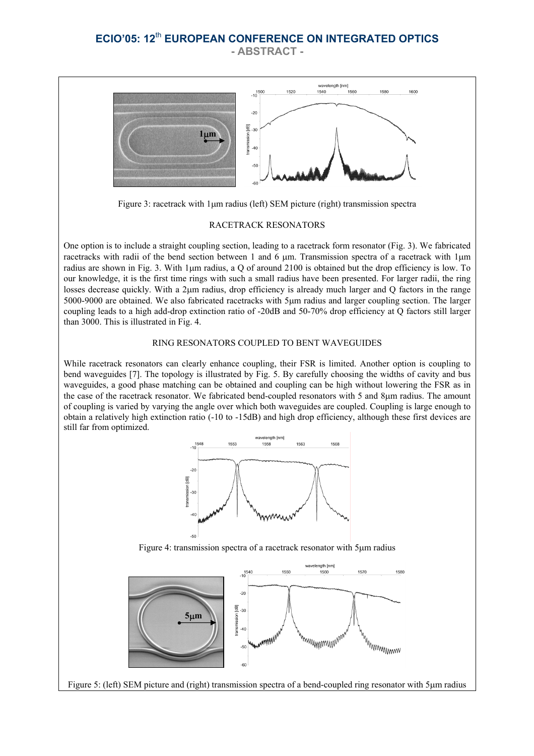# **ECIO'05: 12**th **EUROPEAN CONFERENCE ON INTEGRATED OPTICS - ABSTRACT -**



Figure 3: racetrack with 1µm radius (left) SEM picture (right) transmission spectra

#### RACETRACK RESONATORS

One option is to include a straight coupling section, leading to a racetrack form resonator (Fig. 3). We fabricated racetracks with radii of the bend section between 1 and 6 µm. Transmission spectra of a racetrack with 1µm radius are shown in Fig. 3. With 1µm radius, a Q of around 2100 is obtained but the drop efficiency is low. To our knowledge, it is the first time rings with such a small radius have been presented. For larger radii, the ring losses decrease quickly. With a 2µm radius, drop efficiency is already much larger and Q factors in the range 5000-9000 are obtained. We also fabricated racetracks with 5µm radius and larger coupling section. The larger coupling leads to a high add-drop extinction ratio of -20dB and 50-70% drop efficiency at Q factors still larger than 3000. This is illustrated in Fig. 4.

### RING RESONATORS COUPLED TO BENT WAVEGUIDES

While racetrack resonators can clearly enhance coupling, their FSR is limited. Another option is coupling to bend waveguides [7]. The topology is illustrated by Fig. 5. By carefully choosing the widths of cavity and bus waveguides, a good phase matching can be obtained and coupling can be high without lowering the FSR as in the case of the racetrack resonator. We fabricated bend-coupled resonators with 5 and 8µm radius. The amount of coupling is varied by varying the angle over which both waveguides are coupled. Coupling is large enough to obtain a relatively high extinction ratio (-10 to -15dB) and high drop efficiency, although these first devices are still far from optimized.



Figure 4: transmission spectra of a racetrack resonator with 5µm radius